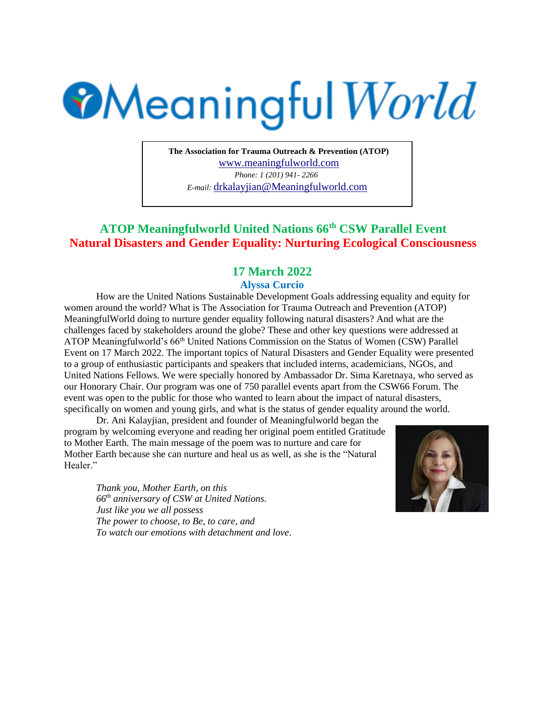## **Meaningful World**

**The Association for Trauma Outreach & Prevention (ATOP)**  www.meaningfulworld.com *Phone: 1 (201) 941- 2266 E-mail:* drkalayjian@Meaningfulworld.com

## **ATOP Meaningfulworld United Nations 66th CSW Parallel Event Natural Disasters and Gender Equality: Nurturing Ecological Consciousness**

## **17 March 2022**

## **Alyssa Curcio**

How are the United Nations Sustainable Development Goals addressing equality and equity for women around the world? What is The Association for Trauma Outreach and Prevention (ATOP) MeaningfulWorld doing to nurture gender equality following natural disasters? And what are the challenges faced by stakeholders around the globe? These and other key questions were addressed at ATOP Meaningfulworld's 66<sup>th</sup> United Nations Commission on the Status of Women (CSW) Parallel Event on 17 March 2022. The important topics of Natural Disasters and Gender Equality were presented to a group of enthusiastic participants and speakers that included interns, academicians, NGOs, and United Nations Fellows. We were specially honored by Ambassador Dr. Sima Karetnaya, who served as our Honorary Chair. Our program was one of 750 parallel events apart from the CSW66 Forum. The event was open to the public for those who wanted to learn about the impact of natural disasters, specifically on women and young girls, and what is the status of gender equality around the world.

Dr. Ani Kalayjian, president and founder of Meaningfulworld began the program by welcoming everyone and reading her original poem entitled Gratitude to Mother Earth. The main message of the poem was to nurture and care for Mother Earth because she can nurture and heal us as well, as she is the "Natural Healer."

*Thank you, Mother Earth, on this 66th anniversary of CSW at United Nations. Just like you we all possess The power to choose, to Be, to care, and To watch our emotions with detachment and love*.

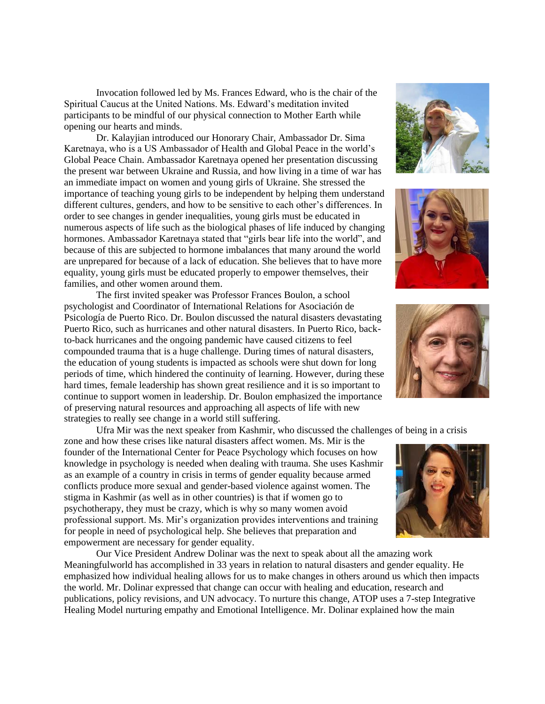Invocation followed led by Ms. Frances Edward, who is the chair of the Spiritual Caucus at the United Nations. Ms. Edward's meditation invited participants to be mindful of our physical connection to Mother Earth while opening our hearts and minds.

Dr. Kalayjian introduced our Honorary Chair, Ambassador Dr. Sima Karetnaya, who is a US Ambassador of Health and Global Peace in the world's Global Peace Chain. Ambassador Karetnaya opened her presentation discussing the present war between Ukraine and Russia, and how living in a time of war has an immediate impact on women and young girls of Ukraine. She stressed the importance of teaching young girls to be independent by helping them understand different cultures, genders, and how to be sensitive to each other's differences. In order to see changes in gender inequalities, young girls must be educated in numerous aspects of life such as the biological phases of life induced by changing hormones. Ambassador Karetnaya stated that "girls bear life into the world", and because of this are subjected to hormone imbalances that many around the world are unprepared for because of a lack of education. She believes that to have more equality, young girls must be educated properly to empower themselves, their families, and other women around them.

The first invited speaker was Professor Frances Boulon, a school psychologist and Coordinator of International Relations for Asociación de Psicología de Puerto Rico. Dr. Boulon discussed the natural disasters devastating Puerto Rico, such as hurricanes and other natural disasters. In Puerto Rico, backto-back hurricanes and the ongoing pandemic have caused citizens to feel compounded trauma that is a huge challenge. During times of natural disasters, the education of young students is impacted as schools were shut down for long periods of time, which hindered the continuity of learning. However, during these hard times, female leadership has shown great resilience and it is so important to continue to support women in leadership. Dr. Boulon emphasized the importance of preserving natural resources and approaching all aspects of life with new strategies to really see change in a world still suffering.

Ufra Mir was the next speaker from Kashmir, who discussed the challenges of being in a crisis

zone and how these crises like natural disasters affect women. Ms. Mir is the founder of the International Center for Peace Psychology which focuses on how knowledge in psychology is needed when dealing with trauma. She uses Kashmir as an example of a country in crisis in terms of gender equality because armed conflicts produce more sexual and gender-based violence against women. The stigma in Kashmir (as well as in other countries) is that if women go to psychotherapy, they must be crazy, which is why so many women avoid professional support. Ms. Mir's organization provides interventions and training for people in need of psychological help. She believes that preparation and empowerment are necessary for gender equality.

Our Vice President Andrew Dolinar was the next to speak about all the amazing work Meaningfulworld has accomplished in 33 years in relation to natural disasters and gender equality. He emphasized how individual healing allows for us to make changes in others around us which then impacts the world. Mr. Dolinar expressed that change can occur with healing and education, research and publications, policy revisions, and UN advocacy. To nurture this change, ATOP uses a 7-step Integrative Healing Model nurturing empathy and Emotional Intelligence. Mr. Dolinar explained how the main







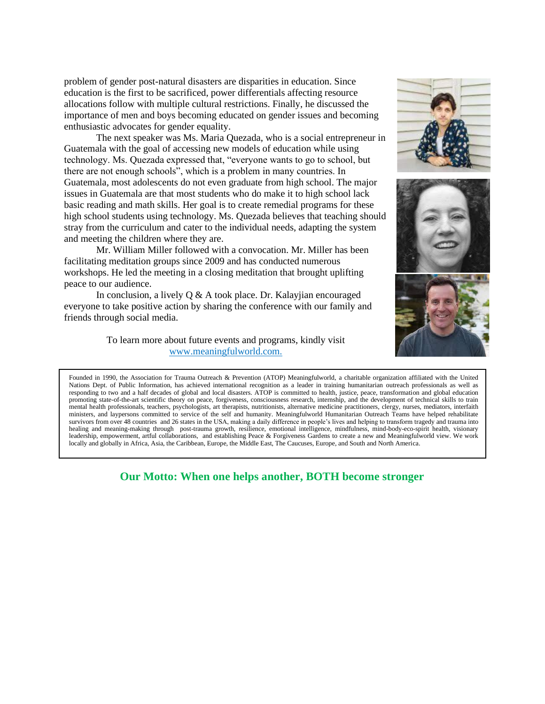problem of gender post-natural disasters are disparities in education. Since education is the first to be sacrificed, power differentials affecting resource allocations follow with multiple cultural restrictions. Finally, he discussed the importance of men and boys becoming educated on gender issues and becoming enthusiastic advocates for gender equality.

The next speaker was Ms. Maria Quezada, who is a social entrepreneur in Guatemala with the goal of accessing new models of education while using technology. Ms. Quezada expressed that, "everyone wants to go to school, but there are not enough schools", which is a problem in many countries. In Guatemala, most adolescents do not even graduate from high school. The major issues in Guatemala are that most students who do make it to high school lack basic reading and math skills. Her goal is to create remedial programs for these high school students using technology. Ms. Quezada believes that teaching should stray from the curriculum and cater to the individual needs, adapting the system and meeting the children where they are.

Mr. William Miller followed with a convocation. Mr. Miller has been facilitating meditation groups since 2009 and has conducted numerous workshops. He led the meeting in a closing meditation that brought uplifting peace to our audience.

In conclusion, a lively Q & A took place. Dr. Kalayjian encouraged everyone to take positive action by sharing the conference with our family and friends through social media.

> To learn more about future events and programs, kindly visit www.meaningfulworld.com.







Founded in 1990, the Association for Trauma Outreach & Prevention (ATOP) Meaningfulworld, a charitable organization affiliated with the United Nations Dept. of Public Information, has achieved international recognition as a leader in training humanitarian outreach professionals as well as responding to two and a half decades of global and local disasters. ATOP is committed to health, justice, peace, transformation and global education promoting state-of-the-art scientific theory on peace, forgiveness, consciousness research, internship, and the development of technical skills to train mental health professionals, teachers, psychologists, art therapists, nutritionists, alternative medicine practitioners, clergy, nurses, mediators, interfaith ministers, and laypersons committed to service of the self and humanity. Meaningfulworld Humanitarian Outreach Teams have helped rehabilitate survivors from over 48 countries and 26 states in the USA, making a daily difference in people's lives and helping to transform tragedy and trauma into healing and meaning-making through post-trauma growth, resilience, emotional intelligence, mindfulness, mind-body-eco-spirit health, visionary leadership, empowerment, artful collaborations, and establishing Peace & Forgiveness Gardens to create a new and Meaningfulworld view. We work locally and globally in Africa, Asia, the Caribbean, Europe, the Middle East, The Caucuses, Europe, and South and North America.

**Our Motto: When one helps another, BOTH become stronger**